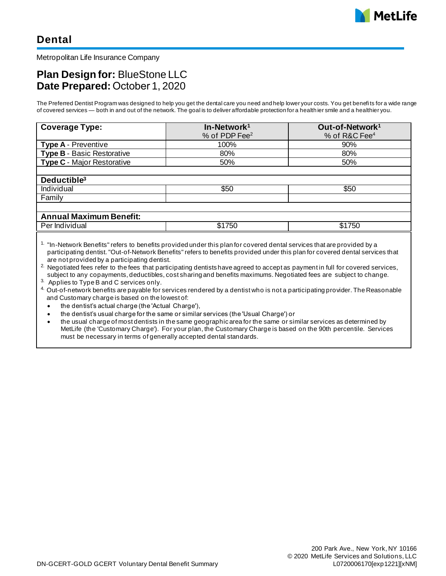

Metropolitan Life Insurance Company

# **Plan Design for:** BlueStone LLC **Date Prepared:** October 1, 2020

The Preferred Dentist Program was designed to help you get the dental care you need and help lower your costs. You get benefits for a wide range of covered services — both in and out of the network. The goal is to deliver affordable protection for a health ier smile and a healthier you.

| <b>Coverage Type:</b>             | In-Network <sup>1</sup>   | Out-of-Network <sup>1</sup> |
|-----------------------------------|---------------------------|-----------------------------|
|                                   | % of PDP Fee <sup>2</sup> | % of R&C Fee <sup>4</sup>   |
| <b>Type A - Preventive</b>        | 100%                      | 90%                         |
| <b>Type B - Basic Restorative</b> | 80%                       | 80%                         |
| <b>Type C</b> - Major Restorative | 50%                       | 50%                         |
|                                   |                           |                             |
| Deductible <sup>3</sup>           |                           |                             |
| Individual                        | \$50                      | \$50                        |
| Family                            |                           |                             |
|                                   |                           |                             |
| <b>Annual Maximum Benefit:</b>    |                           |                             |
| Per Individual                    | \$1750                    | \$1750                      |

<sup>1.</sup> "In-Network Benefits" refers to benefits provided under this plan for covered dental services that are provided by a participating dentist. "Out-of-Network Benefits" refers to benefits provided under this plan for covered dental services that are not provided by a participating dentist.

<sup>2</sup>. Negotiated fees refer to the fees that participating dentists have agreed to accept as payment in full for covered services, subject to any copayments, deductibles, cost sharing and benefits maximums. Negotiated fees are subject to change.

3. Applies to Type B and C services only.

4. Out-of-network benefits are payable for services rendered by a dentist who is not a participating provider. The Reasonable and Customary charge is based on the lowest of:

• the dentist's actual charge (the 'Actual Charge'),

• the dentist's usual charge for the same or similar services (the 'Usual Charge') or

• the usual charge of most dentists in the same geographic area for the same or similar services as determined by MetLife (the 'Customary Charge'). For your plan, the Customary Charge is based on the 90th percentile. Services must be necessary in terms of generally accepted dental standards.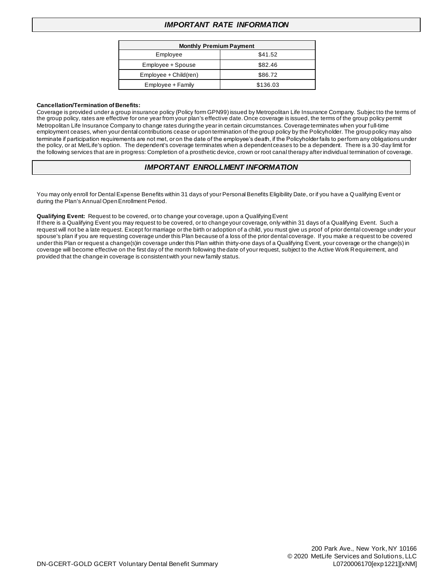## *IMPORTANT RATE INFORMATION*

| <b>Monthly Premium Payment</b> |          |  |
|--------------------------------|----------|--|
| Employee                       | \$41.52  |  |
| Employee + Spouse              | \$82.46  |  |
| $Emplovee + Child(ren)$        | \$86.72  |  |
| Employee + Family              | \$136.03 |  |

#### **Cancellation/Termination of Benefits:**

Coverage is provided under a group insurance policy (Policy form GPN99) issued by Metropolitan Life Insurance Company. Subject to the terms of the group policy, rates are effective for one year from your plan's effective date. Once coverage is issued, the terms of the group policy permit Metropolitan Life Insurance Company to change rates during the year in certain circumstances. Coverage terminates when your f ull-time employment ceases, when your dental contributions cease or upon termination of the group policy by the Policyholder. The group policy may also terminate if participation requirements are not met, or on the date of the employee's death, if the Policyholder fails to perform any obligations under the policy, or at MetLife's option. The dependent's coverage terminates when a dependent ceases to be a dependent. There is a 30-day limit for the following services that are in progress: Completion of a prosthetic device, crown or root canal therapy after individual termination of coverage.

#### *IMPORTANT ENROLLMENT INFORMATION*

You may only enroll for Dental Expense Benefits within 31 days of your Personal Benefits Eligibility Date, or if you have a Qualifying Event or during the Plan's Annual Open Enrollment Period.

#### **Qualifying Event:** Request to be covered, or to change your coverage, upon a Qualifying Event

If there is a Qualifying Event you may request to be covered, or to change your coverage, only within 31 days of a Qualifying Event. Such a request will not be a late request. Except for marriage or the birth or adoption of a child, you must give us proof of prior dental coverage under your spouse's plan if you are requesting coverage under this Plan because of a loss of the prior dental coverage. If you make a request to be covered under this Plan or request a change(s)in coverage under this Plan within thirty-one days of a Qualifying Event, your coverage or the change(s) in coverage will become effective on the first day of the month following the date of your request, subject to the Active Work Requirement, and provided that the change in coverage is consistent with your new family status.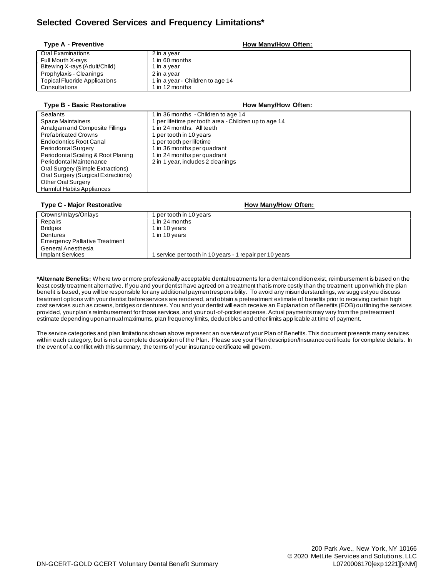## **Selected Covered Services and Frequency Limitations\***

| <b>Type A - Preventive</b>           | How Many/How Often:              |
|--------------------------------------|----------------------------------|
| Oral Examinations                    | 2 in a year                      |
| Full Mouth X-rays                    | 1 in 60 months                   |
| Bitewing X-rays (Adult/Child)        | 1 in a year                      |
| Prophylaxis - Cleanings              | 2 in a year                      |
| <b>Topical Fluoride Applications</b> | 1 in a year - Children to age 14 |
| Consultations                        | 1 in 12 months                   |
|                                      |                                  |

| <b>Type B - Basic Restorative</b>   | How Many/How Often:                                                     |
|-------------------------------------|-------------------------------------------------------------------------|
| Sealants                            | 1 in 36 months - Children to age 14                                     |
| Space Maintainers                   | per lifetime per tooth area - Children up to age 14                     |
| Amalgam and Composite Fillings      | I in 24 months. All teeth                                               |
| <b>Prefabricated Crowns</b>         | per tooth in 10 years                                                   |
| <b>Endodontics Root Canal</b>       | per tooth per lifetime                                                  |
| Periodontal Surgery                 | 1 in 36 months per quadrant                                             |
| Periodontal Scaling & Root Planing  | 1 in 24 months per quadrant                                             |
| Periodontal Maintenance             | 2 in 1 year, includes 2 cleanings                                       |
| Oral Surgery (Simple Extractions)   |                                                                         |
| Oral Surgery (Surgical Extractions) |                                                                         |
| Other Oral Surgery                  |                                                                         |
| Harmful Habits Appliances           |                                                                         |
|                                     |                                                                         |
| Tune C. Meier Desterative           | $H_{\text{aut}} M_{\text{aut}}/H_{\text{aut}}$ $\Lambda_{\text{trans}}$ |

| <b>Type C - Major Restorative</b>     | How Many/How Often:                                   |
|---------------------------------------|-------------------------------------------------------|
| Crowns/Inlays/Onlays                  | per tooth in 10 years                                 |
| Repairs                               | 1 in 24 months                                        |
| <b>Bridges</b>                        | 1 in 10 years                                         |
| Dentures                              | 1 in 10 years                                         |
| <b>Emergency Palliative Treatment</b> |                                                       |
| General Anesthesia                    |                                                       |
| <b>Implant Services</b>               | service per tooth in 10 years - 1 repair per 10 years |

**\*Alternate Benefits:** Where two or more professionally acceptable dental treatments for a dental condition exist, reimbursement is based on the least costly treatment alternative. If you and your dentist have agreed on a treatment that is more costly than the treatment upon which the plan benefit is based, you will be responsible for any additional payment responsibility. To avoid any misunderstandings, we sugg est you discuss treatment options with your dentist before services are rendered, and obtain a pretreatment estimate of benefits prior to receiving certain high cost services such as crowns, bridges or dentures. You and your dentist will each receive an Explanation of Benefits (EOB) ou tlining the services provided, your plan's reimbursement for those services, and your out-of-pocket expense. Actual payments may vary from the pretreatment estimate depending upon annual maximums, plan frequency limits, deductibles and other limits applicable at time of payment.

The service categories and plan limitations shown above represent an overview of your Plan of Benefits. This document presents many services within each category, but is not a complete description of the Plan. Please see your Plan description/Insurance certificate for complete details. In the event of a conflict with this summary, the terms of your insurance certificate will govern.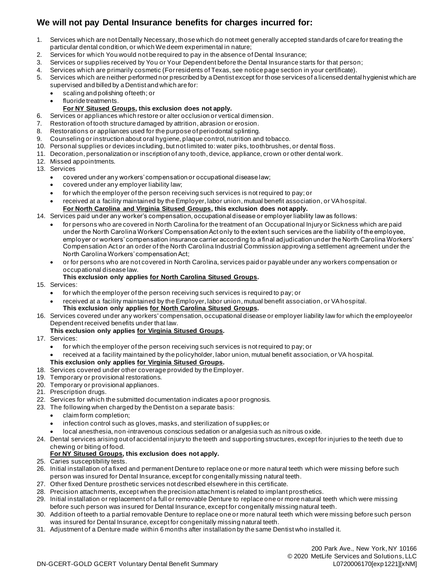# **We will not pay Dental Insurance benefits for charges incurred for:**

- 1. Services which are not Dentally Necessary, those which do not meet generally accepted standards of care for treating the particular dental condition, or which We deem experimental in nature;
- 2. Services for which You would not be required to pay in the absence of Dental Insurance;
- 3. Services or supplies received by You or Your Dependent before the Dental Insurance starts for that person;
- 4. Services which are primarily cosmetic (For residents of Texas, see notice page section in your certificate).
- 5. Services which are neither performed nor prescribed by a Dentist except for those services of a licensed dental hygienist which are supervised and billed by a Dentist and which are for:
	- scaling and polishing of teeth; or
	- fluoride treatments.

#### **For NY Sitused Groups, this exclusion does not apply.**

- 6. Services or appliances which restore or alter occlusion or vertical dimension.
- 7. Restoration of tooth structure damaged by attrition, abrasion or erosion.
- 8. Restorations or appliances used for the purpose of periodontal splinting.
- 9. Counseling or instruction about oral hygiene, plaque control, nutrition and tobacco.
- 10. Personal supplies or devices including, but not limited to: water piks, toothbrushes, or dental floss.
- 11. Decoration, personalization or inscription of any tooth, device, appliance, crown or other dental work.
- 12. Missed appointments.
- 13. Services
	- covered under any workers' compensation or occupational disease law;
	- covered under any employer liability law;
	- for which the employer of the person receiving such services is not required to pay; or
	- received at a facility maintained by the Employer, labor union, mutual benefit association, or VA hospital. **For North Carolina and Virginia Sitused Groups, this exclusion does not apply.**

## 14. Services paid under any worker's compensation, occupational disease or employer liability law as follows:

- for persons who are covered in North Carolina for the treatment of an Occupational Injury or Sickness which are paid under the North Carolina Workers' Compensation Act only to the extent such services are the liability of the employee, employer or workers' compensation insurance carrier according to a final adjudication under the North Carolina Workers' Compensation Act or an order of the North Carolina Industrial Commission approving a settlement agreement under the North Carolina Workers' compensation Act;
- or for persons who are not covered in North Carolina, services paid or payable under any workers compensation or occupational disease law.
- **This exclusion only applies for North Carolina Sitused Groups.**
- 15. Services:
	- for which the employer of the person receiving such services is required to pay; or
	- received at a facility maintained by the Employer, labor union, mutual benefit association, or VA hospital. **This exclusion only applies for North Carolina Sitused Groups.**
- 16. Services covered under any workers' compensation, occupational disease or employer liability law for which the employee/or Dependent received benefits under that law.

#### **This exclusion only applies for Virginia Sitused Groups.**

- 17. Services:
	- for which the employer of the person receiving such services is not required to pay; or
	- received at a facility maintained by the policyholder, labor union, mutual benefit association, or VA hospital.

# **This exclusion only applies for Virginia Sitused Groups.**

- 18. Services covered under other coverage provided by the Employer.
- 19. Temporary or provisional restorations.
- 20. Temporary or provisional appliances.
- 21. Prescription drugs.
- 22. Services for which the submitted documentation indicates a poor prognosis.
- 23. The following when charged by the Dentist on a separate basis:
	- claim form completion;
	- infection control such as gloves, masks, and sterilization of supplies; or
	- local anesthesia, non-intravenous conscious sedation or analgesia such as nitrous oxide.
- 24. Dental services arising out of accidental injury to the teeth and supporting structures, except for injuries to the teeth due to chewing or biting of food.

#### **For NY Sitused Groups, this exclusion does not apply.**

- 25. Caries susceptibility tests.
- 26. Initial installation of a fixed and permanent Denture to replace one or more natural teeth which were missing before such person was insured for Dental Insurance, except for congenitally missing natural teeth.
- 27. Other fixed Denture prosthetic services not described elsewhere in this certificate.
- 28. Precision attachments, except when the precision attachment is related to implant prosthetics.
- 29. Initial installation or replacement of a full or removable Denture to replace one or more natural teeth which were missing before such person was insured for Dental Insurance, except for congenitally missing natural teeth.
- 30. Addition of teeth to a partial removable Denture to replace one or more natural teeth which were missing before such person was insured for Dental Insurance, except for congenitally missing natural teeth.
- 31. Adjustment of a Denture made within 6 months after installation by the same Dentist who installed it.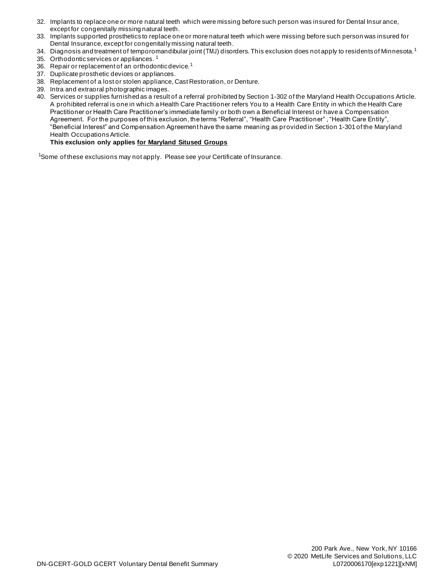- 32. Implants to replace one or more natural teeth which were missing before such person was insured for Dental Insur ance, except for congenitally missing natural teeth.
- 33. Implants supported prosthetics to replace one or more natural teeth which were missing before such person was insured for Dental Insurance, except for congenitally missing natural teeth.
- 34. Diagnosis and treatment of temporomandibular joint (TMJ) disorders. This exclusion does not apply to residents of Minnesota.<sup>1</sup>
- 35. Orthodontic services or appliances. <sup>1</sup>
- 36. Repair or replacement of an orthodontic device.<sup>1</sup>
- 37. Duplicate prosthetic devices or appliances.
- 38. Replacement of a lost or stolen appliance, Cast Restoration, or Denture.
- 39. Intra and extraoral photographic images.
- 40. Services or supplies furnished as a result of a referral prohibited by Section 1-302 of the Maryland Health Occupations Article. A prohibited referral is one in which a Health Care Practitioner refers You to a Health Care Entity in which the Health Care Practitioner or Health Care Practitioner's immediate family or both own a Beneficial Interest or have a Compensation Agreement. For the purposes of this exclusion, the terms "Referral", "Health Care Practitioner" , "Health Care Entity", "Beneficial Interest" and Compensation Agreement have the same meaning as provided in Section 1-301 of the Maryland Health Occupations Article.

### **This exclusion only applies for Maryland Sitused Groups**

<sup>1</sup>Some of these exclusions may not apply. Please see your Certificate of Insurance.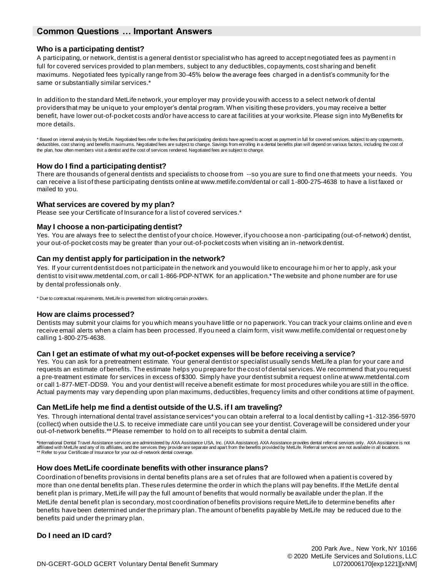## **Common Questions … Important Answers**

#### **Who is a participating dentist?**

A participating, or network, dentist is a general dentist or specialist who has agreed to accept negotiated fees as payment i n full for covered services provided to plan members, subject to any deductibles, copayments, cost sharing and benefit maximums. Negotiated fees typically range from 30-45% below the average fees charged in a dentist's community for the same or substantially similar services.\*

In addition to the standard MetLife network, your employer may provide you with access to a select network of dental providers that may be unique to your employer's dental program. When visiting these providers, you may receive a better benefit, have lower out-of-pocket costs and/or have access to care at facilities at your worksite. Please sign into MyBenefits for more details.

\* Based on internal analysis by MetLife. Negotiated fees refer to the fees that participating dentists have agreed to accept as payment in full for covered services, subject to any copayments,<br>deductibles, cost sharing and the plan, how often members visit a dentist and the cost of services rendered. Negotiated fees are subject to change.

#### **How do I find a participating dentist?**

There are thousands of general dentists and specialists to choose from --so you are sure to find one that meets your needs. You can receive a list of these participating dentists online at www.metlife.com/dental or call 1-800-275-4638 to have a list faxed or mailed to you.

#### **What services are covered by my plan?**

Please see your Certificate of Insurance for a list of covered services.\*

#### **May I choose a non-participating dentist?**

Yes. You are always free to select the dentist of your choice. However, if you choose a non -participating (out-of-network) dentist, your out-of-pocket costs may be greater than your out-of-pocket costs when visiting an in-network dentist.

#### **Can my dentist apply for participation in the network?**

Yes. If your current dentist does not participate in the network and you would like to encourage hi m or her to apply, ask your dentist to visit www.metdental.com, or call 1-866-PDP-NTWK for an application.\* The website and phone number are for use by dental professionals only.

\* Due to contractual requirements, MetLife is prevented from soliciting certain providers.

#### **How are claims processed?**

Dentists may submit your claims for you which means you have little or no paperwork. You can track your claims online and eve n receive email alerts when a claim has been processed. If you need a claim form, visit www.metlife.com/dental or request one by calling 1-800-275-4638.

#### **Can I get an estimate of what my out-of-pocket expenses will be before receiving a service?**

Yes. You can ask for a pretreatment estimate. Your general dentist or specialist usually sends MetLife a plan for your care and requests an estimate of benefits. The estimate helps you prepare for the cost of dental services. We recommend that you request a pre-treatment estimate for services in excess of \$300. Simply have your dentist submit a request online at www.metdental.com or call 1-877-MET-DDS9. You and your dentist will receive a benefit estimate for most procedures while you are still in the office. Actual payments may vary depending upon plan maximums, deductibles, frequency limits and other conditions at time of payment.

#### **Can MetLife help me find a dentist outside of the U.S. if I am traveling?**

Yes. Through international dental travel assistance services\* you can obtain a referral to a local dentist by calling +1-312-356-5970 (collect) when outside the U.S. to receive immediate care until you can see your dentist. Coverage will be considered under your out-of-network benefits.\*\* Please remember to hold on to all receipts to submit a dental claim.

\*International Dental Travel Assistance services are administered by AXA Assistance DSA, Inc. (AXA Assistance). AXA Assistance provides dental referral services only. AXA Assistance is not<br>affiliated with MetLife and any \*\* Refer to your Certificate of Insurance for your out-of-network dental coverage.

#### **How does MetLife coordinate benefits with other insurance plans?**

Coordination of benefits provisions in dental benefits plans are a set of rules that are followed when a patient is covered by more than one dental benefits plan. These rules determine the order in which the plans will pay benefits. If the MetLife dental benefit plan is primary, MetLife will pay the full amount of benefits that would normally be available under the plan. If the MetLife dental benefit plan is secondary, most coordination of benefits provisions require MetLife to determine benefits after benefits have been determined under the primary plan. The amount of benefits payable by MetLife may be reduced due to the benefits paid under the primary plan.

## **Do I need an ID card?**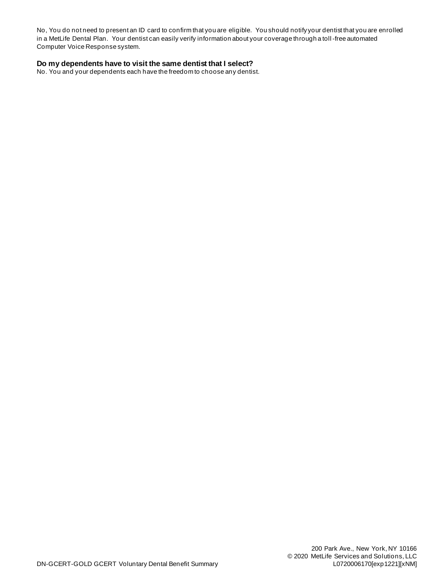No, You do not need to present an ID card to confirm that you are eligible. You should notify your dentist that you are enrolled in a MetLife Dental Plan. Your dentist can easily verify information about your coverage through a toll -free automated Computer Voice Response system.

### **Do my dependents have to visit the same dentist that I select?**

No. You and your dependents each have the freedom to choose any dentist.